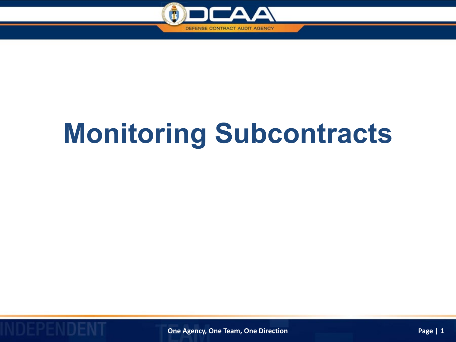

## **Monitoring Subcontracts**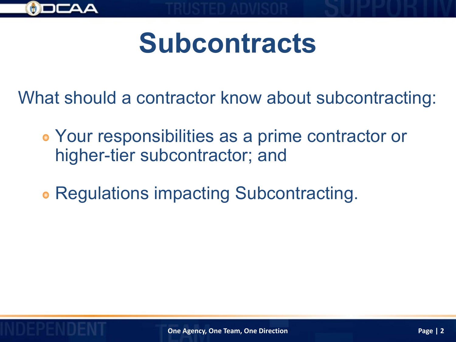

## **Subcontracts**

What should a contractor know about subcontracting:

- Your responsibilities as a prime contractor or higher-tier subcontractor; and
- **Regulations impacting Subcontracting.**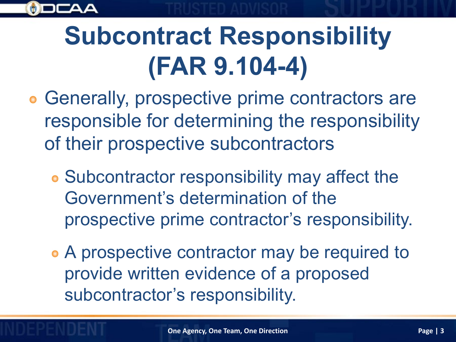

### **Subcontract Responsibility (FAR 9.104-4)**

- **Generally, prospective prime contractors are** responsible for determining the responsibility of their prospective subcontractors
	- Subcontractor responsibility may affect the Government's determination of the prospective prime contractor's responsibility.
	- A prospective contractor may be required to provide written evidence of a proposed subcontractor's responsibility.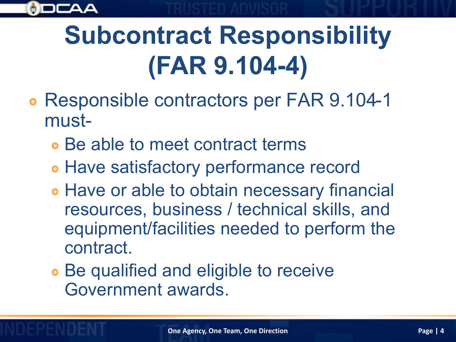

### **Subcontract Responsibility (FAR 9.104-4)**

- **Responsible contractors per FAR 9.104-1** must-
	- Be able to meet contract terms
	- **Have satisfactory performance record**
	- **Have or able to obtain necessary financial** resources, business / technical skills, and equipment/facilities needed to perform the contract.
	- Be qualified and eligible to receive Government awards.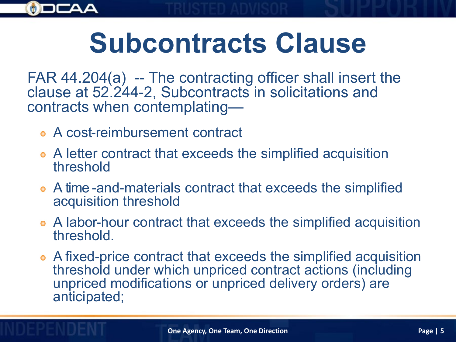

## **Subcontracts Clause**

FAR 44.204(a) -- The contracting officer shall insert the clause at 52.244-2, Subcontracts in solicitations and contracts when contemplating—

- A cost-reimbursement contract
- A letter contract that exceeds the simplified acquisition threshold
- A time -and-materials contract that exceeds the simplified acquisition threshold
- A labor-hour contract that exceeds the simplified acquisition threshold.
- A fixed-price contract that exceeds the simplified acquisition threshold under which unpriced contract actions (including unpriced modifications or unpriced delivery orders) are anticipated;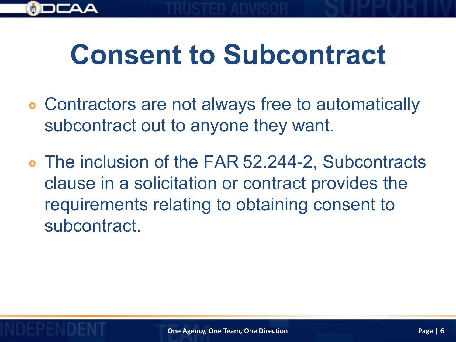

### **Consent to Subcontract**

- Contractors are not always free to automatically subcontract out to anyone they want.
- The inclusion of the FAR 52.244-2, Subcontracts clause in a solicitation or contract provides the requirements relating to obtaining consent to subcontract.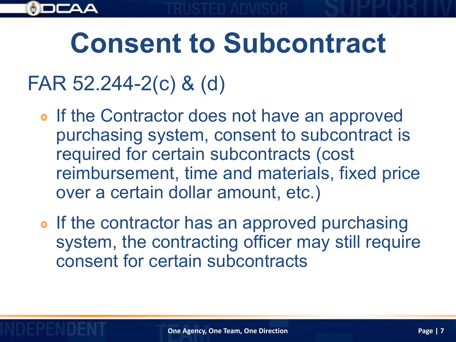

## **Consent to Subcontract**

#### FAR 52.244-2(c) & (d)

- o If the Contractor does not have an approved purchasing system, consent to subcontract is required for certain subcontracts (cost reimbursement, time and materials, fixed price over a certain dollar amount, etc.)
- If the contractor has an approved purchasing system, the contracting officer may still require consent for certain subcontracts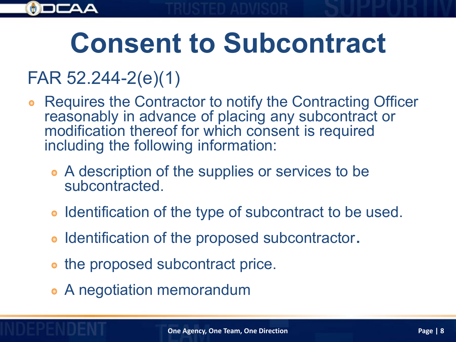

#### FAR 52.244-2(e)(1)

- Requires the Contractor to notify the Contracting Officer reasonably in advance of placing any subcontract or modification thereof for which consent is required including the following information:
	- A description of the supplies or services to be subcontracted.
	- Identification of the type of subcontract to be used.
	- Identification of the proposed subcontractor**.**
	- the proposed subcontract price.
	- A negotiation memorandum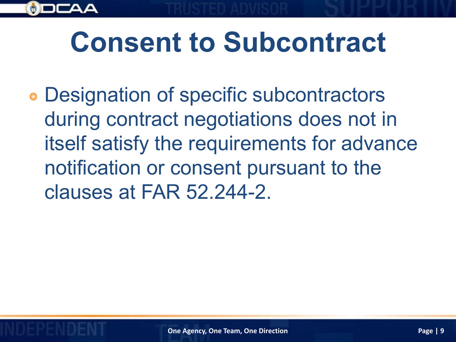

Designation of specific subcontractors during contract negotiations does not in itself satisfy the requirements for advance notification or consent pursuant to the clauses at FAR 52.244-2.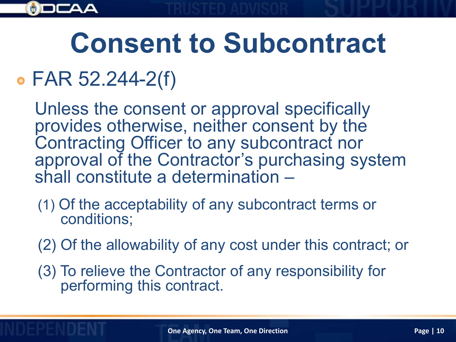

## **Consent to Subcontract**

#### FAR 52.244-2(f)

Unless the consent or approval specifically provides otherwise, neither consent by the Contracting Officer to any subcontract nor approval of the Contractor's purchasing system shall constitute a determination –

- (1) Of the acceptability of any subcontract terms or conditions;
- (2) Of the allowability of any cost under this contract; or
- (3) To relieve the Contractor of any responsibility for performing this contract.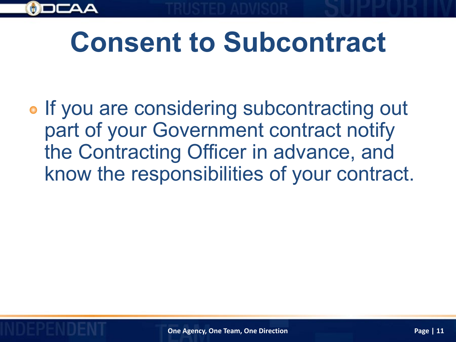

## **Consent to Subcontract**

• If you are considering subcontracting out part of your Government contract notify the Contracting Officer in advance, and know the responsibilities of your contract.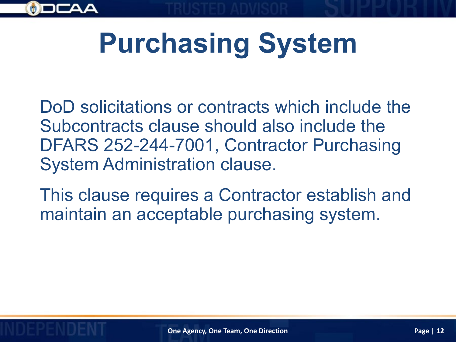

DoD solicitations or contracts which include the Subcontracts clause should also include the DFARS 252-244-7001, Contractor Purchasing System Administration clause.

This clause requires a Contractor establish and maintain an acceptable purchasing system.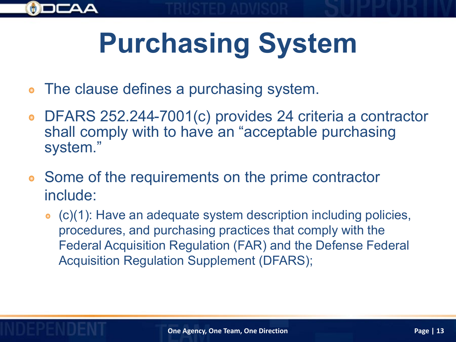- The clause defines a purchasing system.
- DFARS 252.244-7001(c) provides 24 criteria a contractor  $\bullet$ shall comply with to have an "acceptable purchasing system."
- Some of the requirements on the prime contractor  $\bullet$ include:
	- (c)(1): Have an adequate system description including policies, procedures, and purchasing practices that comply with the Federal Acquisition Regulation (FAR) and the Defense Federal Acquisition Regulation Supplement (DFARS);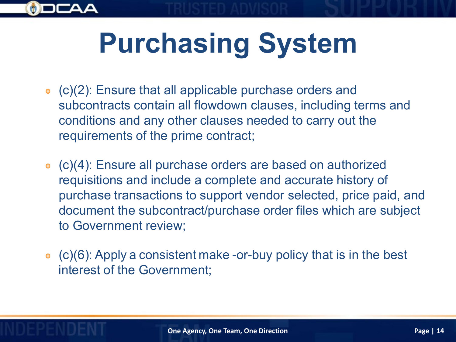- (c)(2): Ensure that all applicable purchase orders and subcontracts contain all flowdown clauses, including terms and conditions and any other clauses needed to carry out the requirements of the prime contract;
- (c)(4): Ensure all purchase orders are based on authorized requisitions and include a complete and accurate history of purchase transactions to support vendor selected, price paid, and document the subcontract/purchase order files which are subject to Government review;
- (c)(6): Apply a consistent make -or-buy policy that is in the best interest of the Government;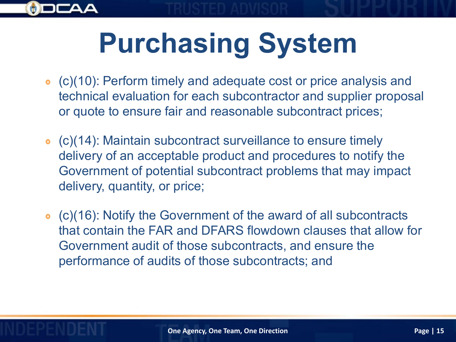

- (c)(10): Perform timely and adequate cost or price analysis and technical evaluation for each subcontractor and supplier proposal or quote to ensure fair and reasonable subcontract prices;
- (c)(14): Maintain subcontract surveillance to ensure timely delivery of an acceptable product and procedures to notify the Government of potential subcontract problems that may impact delivery, quantity, or price;
- (c)(16): Notify the Government of the award of all subcontracts that contain the FAR and DFARS flowdown clauses that allow for Government audit of those subcontracts, and ensure the performance of audits of those subcontracts; and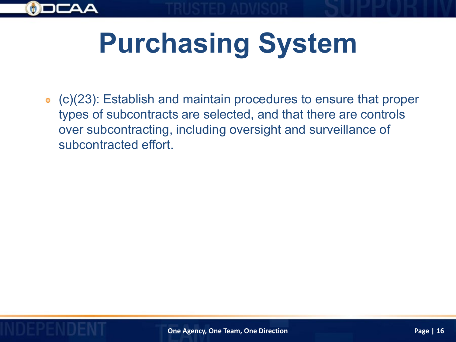

(c)(23): Establish and maintain procedures to ensure that proper types of subcontracts are selected, and that there are controls over subcontracting, including oversight and surveillance of subcontracted effort.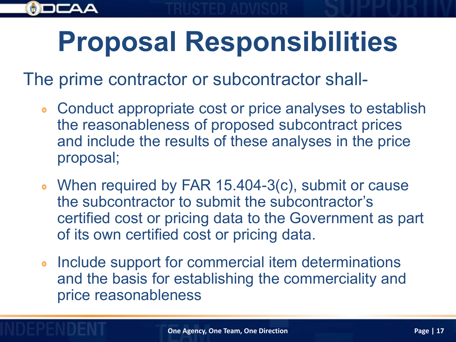

The prime contractor or subcontractor shall-

- Conduct appropriate cost or price analyses to establish  $\bullet$ the reasonableness of proposed subcontract prices and include the results of these analyses in the price proposal;
- When required by FAR 15.404-3(c), submit or cause the subcontractor to submit the subcontractor's certified cost or pricing data to the Government as part of its own certified cost or pricing data.
- Include support for commercial item determinations  $\bullet$ and the basis for establishing the commerciality and price reasonableness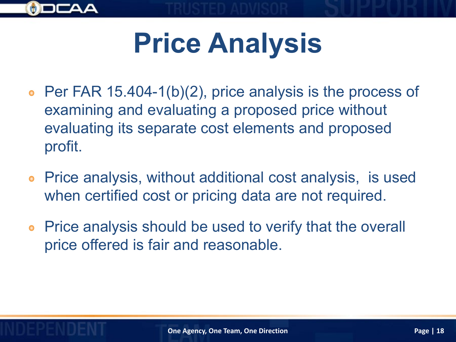

# **Price Analysis**

- Per FAR 15.404-1(b)(2), price analysis is the process of  $\bullet$ examining and evaluating a proposed price without evaluating its separate cost elements and proposed profit.
- Price analysis, without additional cost analysis, is used  $\bullet$ when certified cost or pricing data are not required.
- Price analysis should be used to verify that the overall price offered is fair and reasonable.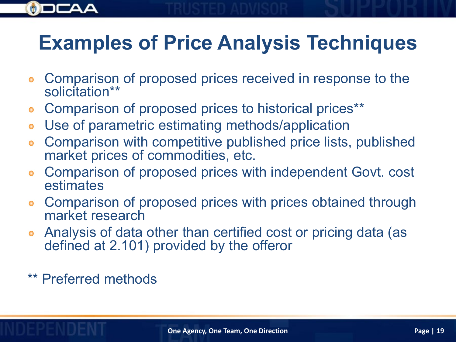

#### **Examples of Price Analysis Techniques**

- Comparison of proposed prices received in response to the  $\bullet$ solicitation\*\*
- Comparison of proposed prices to historical prices\*\*  $\bullet$
- Use of parametric estimating methods/application  $\bullet$
- Comparison with competitive published price lists, published  $\bullet$ market prices of commodities, etc.
- Comparison of proposed prices with independent Govt. cost estimates
- Comparison of proposed prices with prices obtained through  $\bullet$ market research
- Analysis of data other than certified cost or pricing data (as  $\bullet$ defined at 2.101) provided by the offeror
- \*\* Preferred methods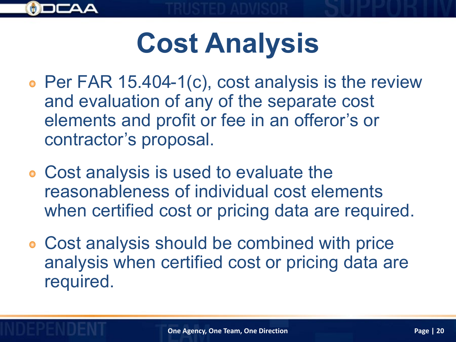

## **Cost Analysis**

- Per FAR 15.404-1(c), cost analysis is the review and evaluation of any of the separate cost elements and profit or fee in an offeror's or contractor's proposal.
- Cost analysis is used to evaluate the reasonableness of individual cost elements when certified cost or pricing data are required.
- Cost analysis should be combined with price analysis when certified cost or pricing data are required.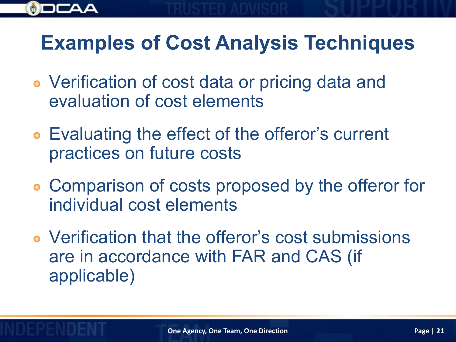

#### **Examples of Cost Analysis Techniques**

- Verification of cost data or pricing data and evaluation of cost elements
- Evaluating the effect of the offeror's current practices on future costs
- Comparison of costs proposed by the offeror for individual cost elements
- Verification that the offeror's cost submissions are in accordance with FAR and CAS (if applicable)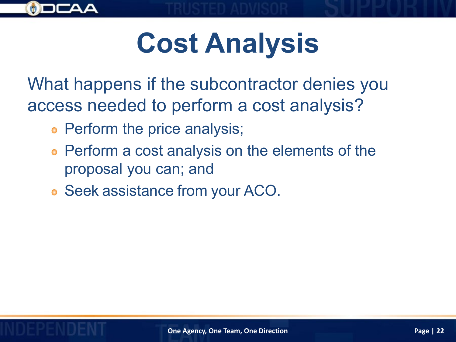

## **Cost Analysis**

What happens if the subcontractor denies you access needed to perform a cost analysis?

- Perform the price analysis;
- Perform a cost analysis on the elements of the proposal you can; and
- Seek assistance from your ACO.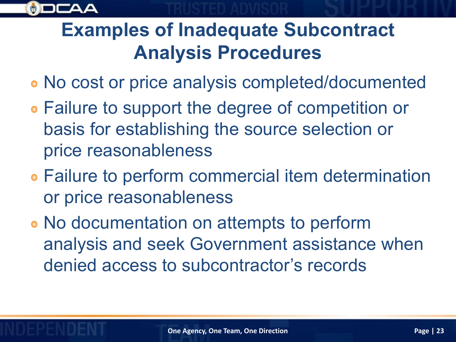

#### **Examples of Inadequate Subcontract Analysis Procedures**

- No cost or price analysis completed/documented
- Failure to support the degree of competition or basis for establishing the source selection or price reasonableness
- Failure to perform commercial item determination or price reasonableness
- No documentation on attempts to perform analysis and seek Government assistance when denied access to subcontractor's records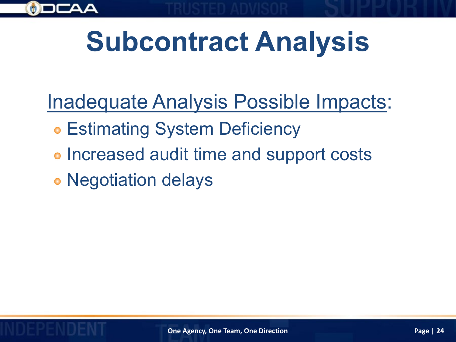

Inadequate Analysis Possible Impacts:

- Estimating System Deficiency
- **Increased audit time and support costs**

Negotiation delays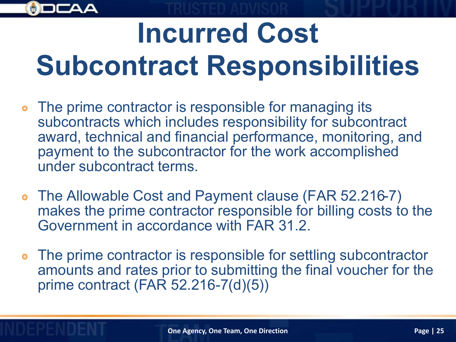# **Incurred Cost Subcontract Responsibilities**

- The prime contractor is responsible for managing its subcontracts which includes responsibility for subcontract award, technical and financial performance, monitoring, and payment to the subcontractor for the work accomplished under subcontract terms.
- The Allowable Cost and Payment clause (FAR 52.216-7) makes the prime contractor responsible for billing costs to the Government in accordance with FAR 31.2.
- The prime contractor is responsible for settling subcontractor amounts and rates prior to submitting the final voucher for the prime contract (FAR 52.216-7(d)(5))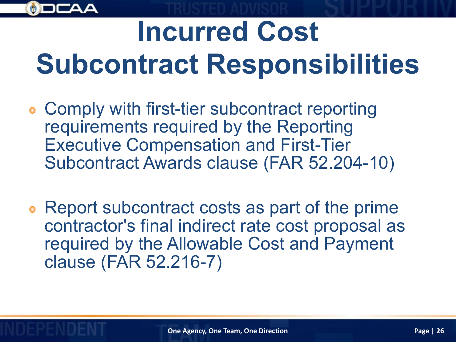

## **Incurred Cost Subcontract Responsibilities**

- Comply with first-tier subcontract reporting requirements required by the Reporting Executive Compensation and First-Tier Subcontract Awards clause (FAR 52.204-10)
- Report subcontract costs as part of the prime contractor's final indirect rate cost proposal as required by the Allowable Cost and Payment clause (FAR 52.216-7)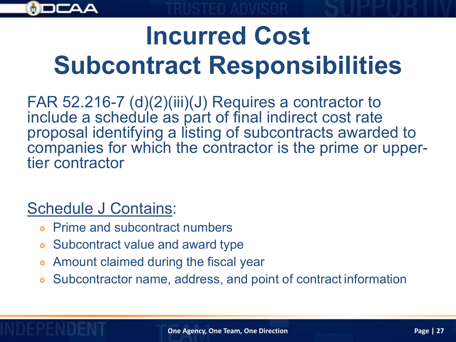

### **Incurred Cost Subcontract Responsibilities**

FAR 52.216-7 (d)(2)(iii)(J) Requires a contractor to include a schedule as part of final indirect cost rate proposal identifying a listing of subcontracts awarded to companies for which the contractor is the prime or upper-<br>tier contractor

#### Schedule J Contains:

- Prime and subcontract numbers
- Subcontract value and award type  $\bullet$
- Amount claimed during the fiscal year
- Subcontractor name, address, and point of contract information  $\bullet$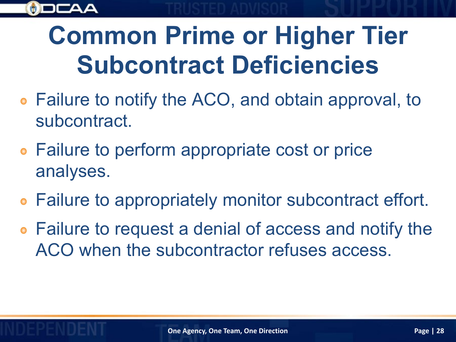

#### **Common Prime or Higher Tier Subcontract Deficiencies**

- Failure to notify the ACO, and obtain approval, to subcontract.
- **Failure to perform appropriate cost or price** analyses.
- Failure to appropriately monitor subcontract effort.
- Failure to request a denial of access and notify the ACO when the subcontractor refuses access.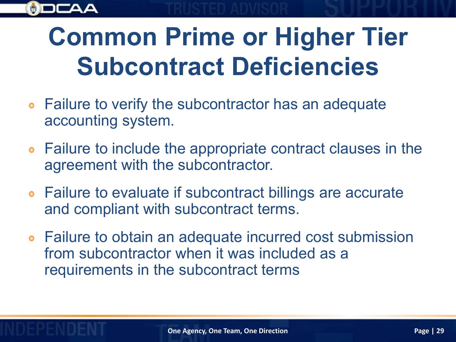

### **Common Prime or Higher Tier Subcontract Deficiencies**

- Failure to verify the subcontractor has an adequate  $\bullet$ accounting system.
- Failure to include the appropriate contract clauses in the  $\bullet$ agreement with the subcontractor.
- Failure to evaluate if subcontract billings are accurate and compliant with subcontract terms.
- Failure to obtain an adequate incurred cost submission from subcontractor when it was included as a requirements in the subcontract terms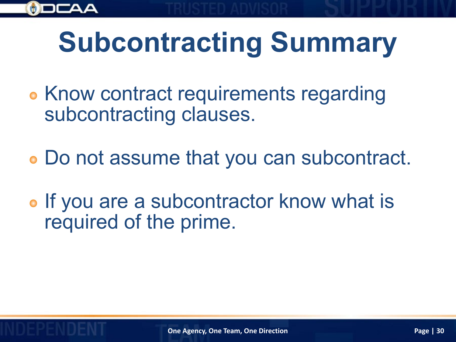

## **Subcontracting Summary**

- **Know contract requirements regarding** subcontracting clauses.
- Do not assume that you can subcontract.
- If you are a subcontractor know what is required of the prime.